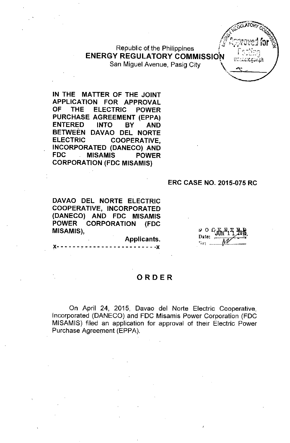Republic of the Philippines ENERGY REGULATORY COMMISSION *literature*the

San Miguel Avenue, Pasig City \ "

1; GULATORY TO  $\frac{1}{2}$   $\sqrt{a^2 - a^2}$ *dp* ::<br>2, drament for 2  $\mathscr{F}$  has never  $\mathfrak{b}$  of  $^{\circledast}_\mathfrak{S}$ "

IN THE MATTER OF THE JOINT APPLICATION FOR APPROVAL OF THE ELECTRIC POWER PURCHASE AGREEMENT (EPPA) ENTERED INTO BY AND BETWEEN DAVAO DEL NORTE ELECTRIC COOPERATIVE, INCORPORATED (DANECO) AND FDC MISAMIS POWER CORPORATION (FDC MISAMIS)

#### ERC CASE NO, 2015-075 RC

DAVAO DEL NORTE ELECTRIC COOPERATIVE, INCORPORATED (DANECO) AND FDC MISAMIS POWER CORPORATION (FDC MISAMIS),

Applicants.

 $- - - x$ 

 $\frac{1}{2}$  O G  $\frac{1}{2}$   $\frac{1}{2}$ ,  $\frac{1}{2}$ ,  $\frac{1}{2}$   $\frac{1}{2}$  $\mathbb{W}'$  ...

## ORDER

On April 24, 2015, Oavao del Norte Electric Cooperative, Incorporated (OANECO) and FOC Misamis Power Corporation (FOC MISAMIS) filed an application for approval of their Electric Power Purchase Agreement (EPPA).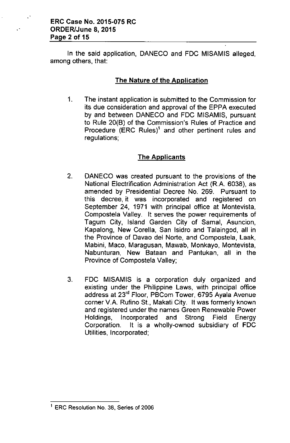In the said application, DANECO and FDC MISAMIS alleged, among others, that:

## The Nature of the Application

1. The instant application is submitted to the Commission for its due consideration and approval of the EPPA executed by and between DANECO and FDC MISAMIS, pursuant to Rule 20(B) of the Commission's Rules of Practice and Procedure (ERC Rules)' and other pertinent rules and regulations;

## The Applicants

- 2. DANECO was created pursuant to the provisions of the National Electrification Administration Act (R.A. 6038), as amended by Presidential Decree No. 269. Pursuant to this decree, it was incorporated and registered on September 24, 1971 with principal office at Montevista, Compostela Valley. It serves the power requirements of Tagum City, Island Garden City of Samal, Asuncion, Kapalong, New Corella, San Isidro and Talaingod, all in the Province of Davao del Norte, and Compostela, Laak, Mabini, Maco, Maragusan, Mawab, Monkayo, Montevista, Nabunturan, New Bataan and Pantukan, all in the Province of Compostela Valley;
- 3. FDC MISAMIS is a corporation duly organized and existing under the Philippine Laws, with principal office address at 23<sup>rd</sup> Floor, PBCom Tower, 6795 Ayala Avenue corner V.A. Rufino St., Makati City. It was formerly known and registered under the names Green Renewable Power Holdings, Incorporated and Strong Field Energy Corporation. It is a wholly-owned subsidiary of FDC Utilities, Incorporated;

<sup>&</sup>lt;sup>1</sup> ERC Resolution No. 38, Series of 2006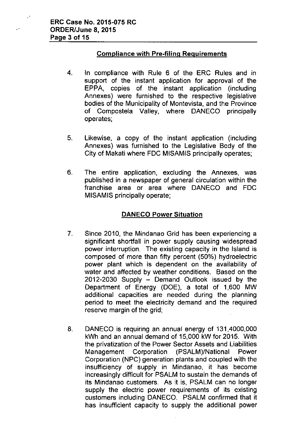$\ddot{\phantom{1}}$ 

## Compliance with Pre-filing Reguirements

- 4. In compliance with Rule 6 of the ERC Rules and in support of the instant application for approval of the EPPA, copies of the instant application (including Annexes) were furnished to the respective legislative bodies of the Municipality of Montevista, and the Province of Compostela Valley, where DANECO principally operates;
- 5. Likewise, a copy of the instant application (including Annexes) was furnished to the Legislative Body of the City of Makati where FDC MISAMIS principally operates;
- 6. The entire application, excluding the Annexes, was published in a newspaper of general circulation within the franchise area or area where DANECO and FDC MISAMIS principally operate;

# DANECO Power Situation

- 7. Since 2010, the Mindanao Grid has been experiencing a significant shortfall in power supply causing widespread power interruption. The existing capacity in the Island is composed of more than fifty percent (50%) hydroelectric power plant which is dependent on the availability of water and affected by weather conditions. Based on the  $2012-2030$  Supply  $-$  Demand Outlook issued by the Department of Energy (DOE), a total of 1,600 MW additional capacities are needed during the planning period to meet the electricity demand and the required reserve margin of the grid;
- 8. DANECO is requiring an annual energy of 131,4000,000 kWh and an annual demand of 15,000 kW for 2015. With the privatization of the Power Sector Assets and Liabilities Management Corporation (PSALM)/National Power Corporation (NPC) generation plants and coupled with the insufficiency of supply in Mindanao, it has become increasingly difficult for PSALM to sustain the demands of its Mindanao customers. As it is, PSALM can no longer supply the electric power requirements of its existing customers including DANECO. PSALM confirmed that it has insufficient capacity to supply the additional power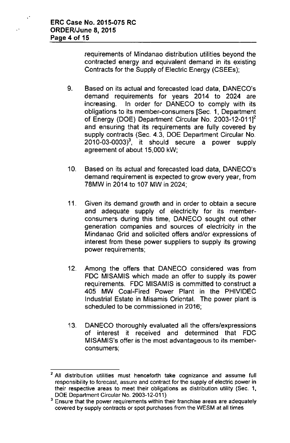$\ddot{\phi}$ 

requirements of Mindanao distribution utilities beyond the contracted energy and equivalent demand in its existing Contracts for the Supply of Electric Energy (CSEEs);

- 9. Based on its actual and forecasted load data, DANECO's demand requirements for years 2014 to 2024 are increasing. In order for DANECO to comply with its obligations to its member-consumers [Sec. 1, Department of Energy (DOE) Department Circular No. 2003-12-011]2 and ensuring that its requirements are fully covered by supply contracts (Sec. 4.3, DOE Department Circular No.  $2010-03-0003$ <sup>3</sup>, it should secure a power supply agreement of about 15,000 kW;
- 10. Based on its actual and forecasted load data, DANECO's demand requirement is expected to grow every year, from 78MW in 2014 to 107 MW in 2024;
- 11. Given its demand growth and in order to obtain a secure and adequate supply of electricity for its memberconsumers during this time, DANECO sought out other generation companies and sources of electricity in the Mindanao Grid and solicited offers and/or expressions of interest from these power suppliers to supply its growing power requirements;
- 12. Among the offers that DANECO considered was from FDC MISAMIS which made an offer to supply its power requirements. FDC MISAMIS is committed to construct a 405 MW Coal-Fired Power Plant in the PHIVIDEC Industrial Estate in Misamis Oriental. The power plant is scheduled to be commissioned in 2016;
- 13. DANECO thoroughly evaluated all the offers/expressions of interest it received and determined that FDC MISAMIS's offer is the most advantageous to its memberconsumers;

<sup>&</sup>lt;sup>2</sup> All distribution utilities must henceforth take cognizance and assume full responsibiiity to forecast, assure and contract for the supply of electric power in their respective areas to meet their obligations as distribution utility (Sec. 1, DOE Department Circular No. 2003-12-011)

<sup>3</sup> **Ensure that the power requirements within their franchise areas are adequately** covered by supply contracts or spot purchases from the WESM at all times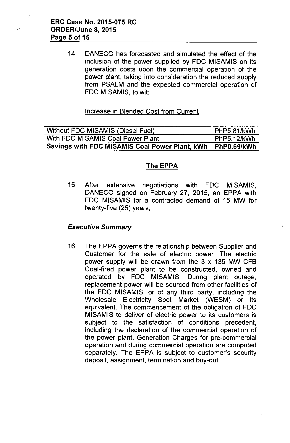14. OANECO has forecasted and simulated the effect of the inclusion of the power supplied by FOC MISAMIS on its generation costs upon the commercial operation of the power plant, taking into consideration the reduced supply from PSALM and the expected commercial operation of FOC MISAMIS, to wit:

## Increase in Biended Cost from Current

Without FDC MISAMIS (Diesel Fuel) | PhP5.81/kWh With FDC MISAMIS Coal Power Plant PhP5.12/kWh Savings with FDC MISAMIS Coal Power Plant, kWh | PhP0.69/kWh

## The EPPA

15. After extensive negotiations with FOC MISAMIS, OANECO signed on February 27, 2015, an EPPA with FOC MISAMIS for a contracted demand of 15 MW for twenty-five (25) years;

## *Executive Summary*

16. The EPPA governs the relationship between Supplier and Customer for the sale of electric power. The electric power supply will be drawn from the  $3 \times 135$  MW CFB Coal-fired power plant to be constructed, owned and operated by FOC MISAMIS. Ouring plant outage, replacement power will be sourced from other facilities of the FOC MISAMIS, or of any third party, including the Wholesale Electricity Spot Market (WESM) or its equivalent. The commencement of the obligation of FOC MISAMIS to deliver of electric power to its customers is subject to the satisfaction of conditions precedent, including the declaration of the commercial operation of the power plant. Generation Charges for pre-commercial operation and during commercial operation are computed separately. The EPPA is subject to customer's security deposit, assignment, termination and buy-out;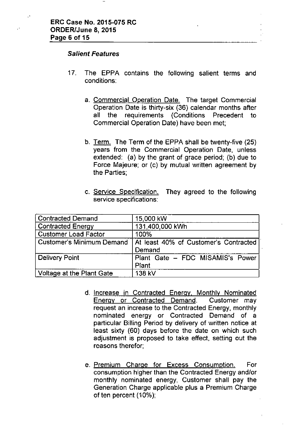#### *Salient Features*

- 17. The EPPA contains the following salient terms and conditions:
	- a. Commercial Operation Date. The target Commercial Operation Date is thirty-six (36) calendar months after all the requirements (Conditions Precedent to Commercial Operation Date) have been met;
	- b. Term. The Term of the EPPA shall be twenty-five (25) years from the Commercial Operation Date, unless extended: (a) by the grant of grace period; (b) due to Force Majeure; or (c) by mutual written agreement by the Parties;
	- c. Service Specification. They agreed to the following service specifications:

| Contracted Demand                | 15,000 kW                                       |
|----------------------------------|-------------------------------------------------|
| <b>Contracted Energy</b>         | 131,400,000 kWh                                 |
| <b>Customer Load Factor</b>      | 100%                                            |
| <b>Customer's Minimum Demand</b> | At least 40% of Customer's Contracted<br>Demand |
| Delivery Point                   | Plant Gate - FDC MISAMIS's Power<br>Plant       |
| Voltage at the Plant Gate        | 138 kV                                          |

- d. Increase in Contracted Energy, Monthly Nominated Energy or Contracted Demand. Customer may request an increase to the Contracted Energy, monthly nominated energy or Contracted Demand of a particular Billing Period by delivery of written notice at least sixty (60) days before the date on which such adjustment is proposed to take effect, setting out the reasons therefor;
- e. Premium Charge for Excess Consumption. For consumption higher than the Contracted Energy and/or monthly nominated energy, Customer shall pay the Generation Charge applicable plus a Premium Charge of ten percent (10%);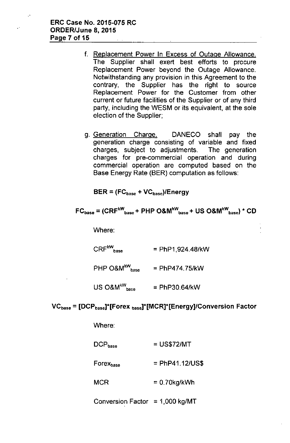- f. Replacement Power In Excess of Outage Allowance. The Supplier shall exert best efforts to procure Replacement Power beyond the Outage Allowance. Notwithstanding any provision in this Agreement to the contrary, the Supplier has the right to source Replacement Power for the Customer from other current or future facilities of the Supplier or of any third party, including the WESM or its equivalent, at the sole election of the Supplier;
- g. Generation Charge. DANECO shall pay the generation charge consisting of variable and fixed charges, subject to adjustments. The generation charges for pre-commercial operation and during commercial operation are computed based on the Base Energy Rate (BER) computation as follows:

 $BER = (FC_{base} + VC_{base})/Energy$ 

$$
FC_{base} = (CRF^{kW}_{base} + PHP O&M^{kW}_{base} + US O&M^{kW}_{base}) \times CD
$$

Where:

 $CRF^{\text{kW}}_{\text{base}}$ = PhP1,924.48/kW

- PHP  $O&M^{kW}$ <sub>base</sub> = PhP474.75/kW
- $US\ O8M^{\rm kW} _{\rm base}$ = PhP30.64/kW

## $VC<sub>base</sub> = [DCP<sub>base</sub>]<sup>*</sup>[Forex<sub>base</sub>]<sup>*</sup>[MCR]<sup>*</sup>[Energy]/Conversion Factor$

Where:

| $\mathsf{DCP}_\mathsf{base}$  | $=$ US\$72/MT     |
|-------------------------------|-------------------|
| ${\sf Forex}_{\texttt{base}}$ | $=$ PhP41.12/US\$ |
| MCR                           | $= 0.70$ kg/kWh   |

Conversion Factor =  $1,000$  kg/MT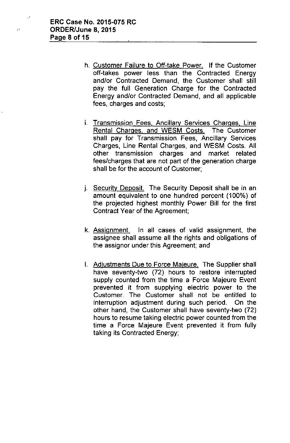- h. Customer Failure to Off-take Power. If the Customer off-takes power less than the Contracted Energy and/or Contracted Demand, the Customer shall still pay the full Generation Charge for the Contracted Energy and/or Contracted Demand, and all applicable fees, charges and costs;
- i. Transmission Fees, Ancillary Services Charges, Line Rental Charges, and WESM Costs. The Customer shall pay for Transmission Fees, Ancillary Services Charges, Line Rental Charges, and WESM Costs. All other transmission charges and market related fees/charges that are not part of the generation charge shall be for the account of Customer;
- j. Security Deposit. The Security Deposit shall be in an amount equivalent to one hundred percent (100%) of the projected highest monthly Power Bill for the first Contract Year of the Agreement;
- k. Assignment. In all cases of valid assignment, the assignee shall assume all the rights and obligations of the assignor under this Agreement; and
- I. Adjustments Due to Force Majeure. The Supplier shall have seventy-two (72) hours to restore interrupted supply counted from the time a Force Majeure Event prevented it from supplying electric power to the Customer. The Customer shall not be entitled to interruption adjustment during such period. On the other hand, the Customer shall have seventy-two (72) hours to resume taking electric power counted from the time a Force Majeure Event prevented it from fully taking its Contracted Energy;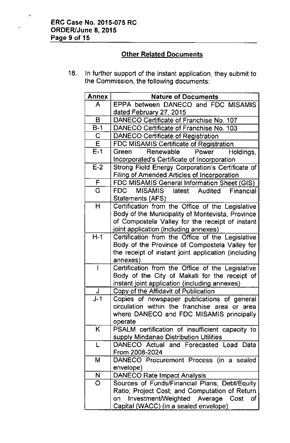"

Å,

# **Other Related Documents**

18. In further support of the instant application, they submit to the Commission, the following documents:

| Annex                   | <b>Nature of Documents</b>                                        |
|-------------------------|-------------------------------------------------------------------|
| A                       | EPPA between DANECO and FDC MISAMIS                               |
|                         | dated February 27, 2015                                           |
| B                       | DANECO Certificate of Franchise No. 107                           |
| $B-1$                   | DANECO Certificate of Franchise No. 103                           |
| C                       | <b>DANECO Certificate of Registration</b>                         |
| $\overline{\mathsf{E}}$ | FDC MISAMIS Certificate of Registration                           |
| $E-1$                   | Renewable<br>Power<br>Green<br>Holdings,                          |
|                         | Incorporated's Certificate of Incorporation                       |
| $E-2$                   | Strong Field Energy Corporation's Certificate of                  |
|                         | <b>Filing of Amended Articles of Incorporation</b>                |
| $\mathsf F$             | FDC MISAMIS General Information Sheet (GIS)                       |
| $\overline{\mathrm{G}}$ | MISAMIS latest<br>FDC<br>Audited<br>Financial<br>Statements (AFS) |
| H                       | Certification from the Office of the Legislative                  |
|                         | Body of the Municipality of Montevista, Province                  |
|                         | of Compostela Valley for the receipt of instant                   |
|                         | joint application (including annexes)                             |
| $H-1$                   | Certification from the Office of the Legislative                  |
|                         | Body of the Province of Compostela Valley for                     |
|                         | the receipt of instant joint application (including               |
|                         | annexes)                                                          |
|                         | Certification from the Office of the Legislative                  |
|                         | Body of the City of Makati for the receipt of                     |
|                         | instant joint application (including annexes)                     |
| J                       | Copy of the Affidavit of Publication                              |
| $J-1$                   | Copies of newspaper publications of general                       |
|                         | circulation within the franchise area or area                     |
|                         | where DANECO and FDC MISAMIS principally                          |
|                         | operate                                                           |
| Κ                       | PSALM certification of insufficient capacity to                   |
|                         | supply Mindanao Distribution Utilities                            |
| L                       | DANECO Actual and Forecasted Load<br>Data                         |
|                         | From 2008-2024                                                    |
| М                       | DANECO Procurement Process (in a sealed<br>envelope)              |
| N                       | <b>DANECO Rate Impact Analysis</b>                                |
| O                       | Sources of Funds/Financial Plans; Debt/Equity                     |
|                         | Ratio; Project Cost; and Computation of Return                    |
|                         | Investment/Weighted Average Cost of<br>on                         |
|                         | Capital (WACC) (in a sealed envelope)                             |
|                         |                                                                   |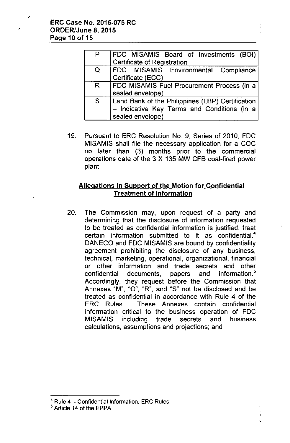.'

| P  | FDC MISAMIS Board of Investments (BOI)<br>Certificate of Registration |
|----|-----------------------------------------------------------------------|
|    |                                                                       |
| Q  | FDC MISAMIS Environmental Compliance                                  |
|    | Certificate (ECC)                                                     |
| R. | FDC MISAMIS Fuel Procurement Process (in a)                           |
|    | sealed envelope)                                                      |
| S  | Land Bank of the Philippines (LBP) Certification                      |
|    | - Indicative Key Terms and Conditions (in a                           |
|    | sealed envelope)                                                      |

19. Pursuant to ERC Resolution NO.9, Series of 2010, FOC MISAMIS shall file the necessary application for a COC no later than (3) months prior to the commercial operations date of the 3 X 135 MW CFB coal-fired power plant;

# Allegations in Support of the Motion for Confidential Treatment of Information

20. The Commission may, upon request of a party and determining that the disclosure of information requested to be treated as confidential information is justified, treat certain information submitted to it as confidential' OANECO and FOC MISAMIS are bound by confidentiality agreement prohibiting the disclosure of any business, technical, marketing, operational, organizational, financial or other information and trade secrets and other confidential documents, papers and information.<sup>5</sup> Accordingly, they request before the Commission that  $\cdot$ Annexes "M", "0", "R", and "S" not be disclosed and be treated as confidential in accordance with Rule 4 of the ERC Rules. These Annexes contain confidential information critical to the business operation of FOC MISAMIS including trade secrets and business calculations, assumptions and projections; and

<sup>4</sup> Rule 4 - Confidential Information, ERC Rules

s Article 14 of the EPPA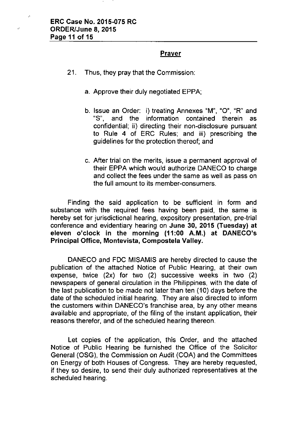.'

# Prayer

- 21. Thus, they pray that the Commission:
	- a. Approve their duly negotiated EPPA;
	- b. Issue an Order: i) treating Annexes "M", "0", "R" and "S", and the information contained therein as confidential; ii) directing their non-disclosure pursuant to Rule 4 of ERC Rules; and iii) prescribing the guidelines for the protection thereof; and
	- c. After trial on the merits, issue a permanent approval of their EPPA which would authorize OANECO to charge and collect the fees under the same as well as pass on the full amount to its member-consumers.

Finding the said application to be sufficient in form and substance with the required fees having been paid, the same is hereby set for jurisdictional hearing, expository presentation, pre-trial conference and evidentiary hearing on June 30, 2015 (Tuesday) at eleven o'clock in the morning (11 :00 A.M.) at DANECO's Principal Office, Montevista, Compostela Valley.

OANECO and FOC MISAMIS are hereby directed to cause the publication of the attached Notice of Public Hearing, at their own expense, twice (2x) for two (2) successive weeks in two (2) newspapers of general circulation in the Philippines, with the date of the last publication to be made not later than ten (10) days before the date of the scheduled initial hearing. They are also directed to inform the customers within OANECO's franchise area, by any other means available and appropriate, of the filing of the instant application, their reasons therefor, and of the scheduled hearing thereon.

Let copies of the application, this Order, and the attached Notice of Public Hearing be furnished the Office of the Solicitor General (OSG), the Commission on Audit (COA) and the Committees on Energy of both Houses of Congress. They are hereby requested, if they so desire, to send their duly authorized representatives at the scheduled hearing.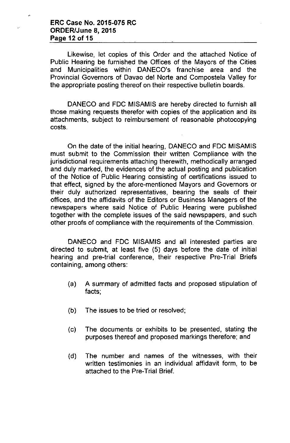#### **ERC Case No. 2015-075 RC ORDER/June 8, 2015 Page 12 of 15**

 $\mathbf{r}$ 

Likewise, let copies of this Order and the attached Notice of Public Hearing be furnished the Offices of the Mayors of the Cities and Municipalities within DANECO's franchise area and the Provincial Governors of Oavao del Norte and Compostela Valley for the appropriate posting thereof on their respective bulletin boards.

OANECO and FOC MISAMIS are hereby directed to furnish all those making requests therefor with copies of the application and its attachments, subject to reimbursement of reasonable photocopying costs.

On the date of the initial hearing, OANECO and FOC MISAMIS must submit to the Commission their written Compliance with the jurisdictional requirements attaching therewith, methodically arranged and duly marked, the evidences of the actual posting and publication of the Notice of Public Hearing consisting of certifications issued to that effect, signed by the afore-mentioned Mayors and Governors or their duly authorized representatives, bearing the seals of their offices, and the affidavits of the Editors or Business Managers of the newspapers where said Notice of Public Hearing were published together with the complete issues of the said newspapers, and such other proofs of compliance with the requirements of the Commission.

OANECO and FOC MISAMIS and all interested parties are directed to submit, at least five (5) days before the date of initial hearing and pre-trial conference, their respective Pre-Trial Briefs containing, among others:

- (a) A summary of admitted facts and proposed stipulation of facts;
- (b) The issues to be tried or resolved;
- (c) The documents or exhibits to be presented, stating the purposes thereof and proposed markings therefore; and
- (d) The number and names of the witnesses, with their written testimonies in an individual affidavit form, to be attached to the Pre-Trial Brief.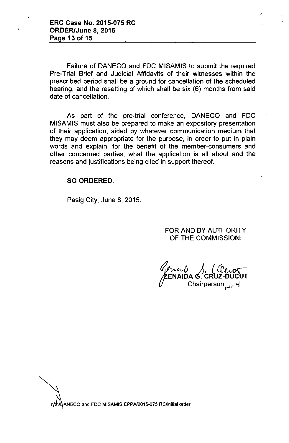Failure of OANECO and FOC MISAMIS to submit the required Pre-Trial Brief and Judicial Affidavits of their witnesses within the prescribed period shall be a ground for cancellation of the scheduled hearing, and the resetting of which shall be six (6) months from said date of cancellation.

As part of the pre-trial conference, OANECO and FOC MISAMIS must also be prepared to make an expository presentation of their application, aided by whatever communication medium that they may deem appropriate for the purpose, in order to put in plain words and explain, for the benefit of the member-consumers and other concerned parties, what the application is all about and the reasons and justifications being cited in support thereof.

## SO ORDERED.

Pasig City, June 8, 2015.

FOR ANO BY AUTHORITY OF THE COMMISSION:

ENAIDA G. CF Chairperson for

 $\forall$ **~ ANECO and FDe MISAMIS EPPA/201S-Q75 RC/initial order**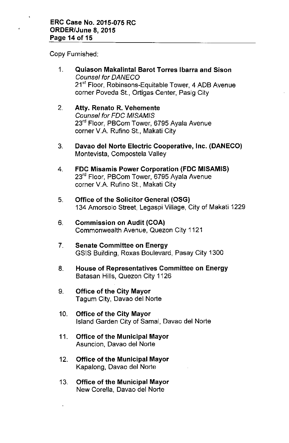Copy Furnished:

- 1. Quiason Makalintal Barot Torres Ibarra and Sison *Counsel for OANECO* 21<sup>st</sup> Floor, Robinsons-Equitable Tower, 4 ADB Avenue corner Poveda St., Ortigas Center, Pasig City
- 2. Atty. Renato R. Vehemente *Counsel for FOC M/SAM/S* 23<sup>rd</sup> Floor, PBCom Tower, 6795 Ayala Avenue corner V.A. Rufino St., Makati City
- 3. Davao del Norte Electric Cooperative, Inc. (DANECO) Montevista, Compostela Valley
- 4. FDC Misamis Power Corporation (FDC MISAMIS) 23<sup>rd</sup> Floor, PBCom Tower, 6795 Ayala Avenue corner V.A. Rufino St., Makati City
- 5. Office of the Solicitor General (OSG) 134 Amorsolo Street, Legaspi Village, City of Makati 1229
- 6. Commission on Audit (COA) Commonwealth Avenue, Quezon City 1121
- 7. Senate Committee on Energy GSIS Building, Roxas Boulevard, Pasay City 1300
- 8. House of Representatives Committee on Energy Batasan Hills, Quezon City 1126
- 9. Office of the City Mayor Tagum City, Davao del Norte
- 10. Office of the City Mayor Island Garden City of Samal, Davao del Norte
- 11. Office of the Municipal Mayor Asuncion, Davao del Norte
- 12. Office of the Municipal Mayor Kapalong, Davao del Norte
- 13. Office of the Municipal Mayor New Corella, Davao del Norte